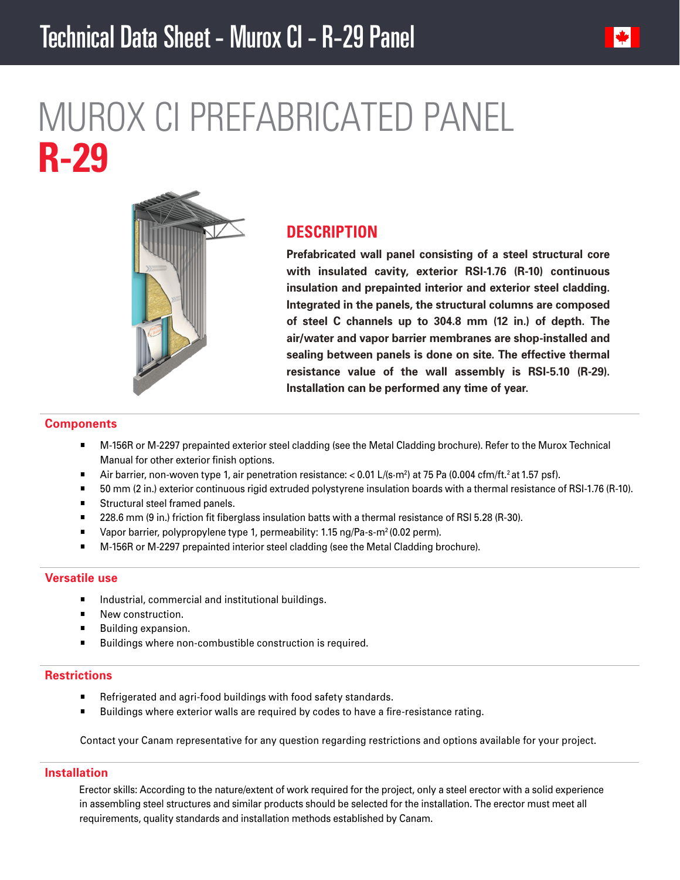

# MUROX CI PREFABRICATED PANEL **R-29**



# **DESCRIPTION**

**Prefabricated wall panel consisting of a steel structural core with insulated cavity, exterior RSI-1.76 (R-10) continuous insulation and prepainted interior and exterior steel cladding. Integrated in the panels, the structural columns are composed of steel C channels up to 304.8 mm (12 in.) of depth. The air/water and vapor barrier membranes are shop-installed and sealing between panels is done on site. The effective thermal resistance value of the wall assembly is RSI-5.10 (R-29). Installation can be performed any time of year.**

#### **Components**

- M-156R or M-2297 prepainted exterior steel cladding (see the Metal Cladding brochure). Refer to the Murox Technical Manual for other exterior finish options.
- $\blacksquare$  Air barrier, non-woven type 1, air penetration resistance: < 0.01 L/(s·m<sup>2</sup>) at 75 Pa (0.004 cfm/ft.<sup>2</sup> at 1.57 psf).
- 50 mm (2 in.) exterior continuous rigid extruded polystyrene insulation boards with a thermal resistance of RSI-1.76 (R-10).
- **Structural steel framed panels.**
- 228.6 mm (9 in.) friction fit fiberglass insulation batts with a thermal resistance of RSI 5.28 (R-30).
- Vapor barrier, polypropylene type 1, permeability: 1.15 ng/Pa-s-m<sup>2</sup> (0.02 perm).
- M-156R or M-2297 prepainted interior steel cladding (see the Metal Cladding brochure).

# **Versatile use**

- Industrial, commercial and institutional buildings.
- New construction.
- Building expansion.
- Buildings where non-combustible construction is required.

# **Restrictions**

- Refrigerated and agri-food buildings with food safety standards.
- **Buildings where exterior walls are required by codes to have a fire-resistance rating.**

Contact your Canam representative for any question regarding restrictions and options available for your project.

# **Installation**

Erector skills: According to the nature/extent of work required for the project, only a steel erector with a solid experience in assembling steel structures and similar products should be selected for the installation. The erector must meet all requirements, quality standards and installation methods established by Canam.